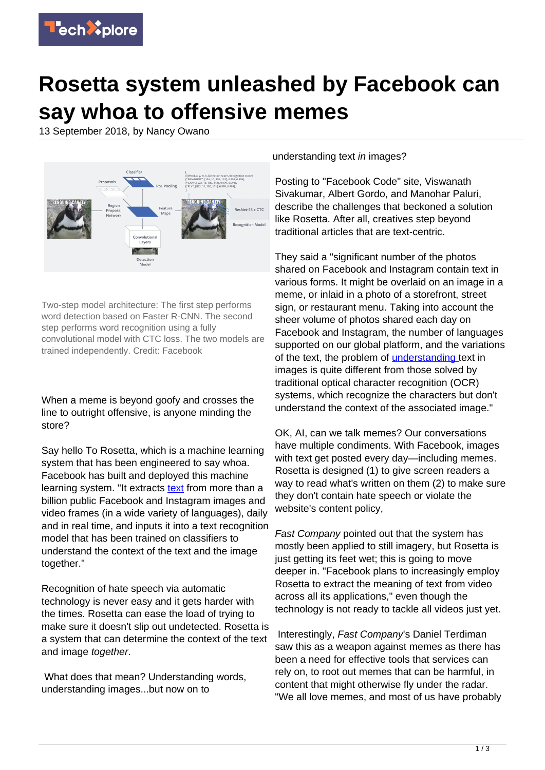

## **Rosetta system unleashed by Facebook can say whoa to offensive memes**

13 September 2018, by Nancy Owano



Two-step model architecture: The first step performs word detection based on Faster R-CNN. The second step performs word recognition using a fully convolutional model with CTC loss. The two models are trained independently. Credit: Facebook

When a meme is beyond goofy and crosses the line to outright offensive, is anyone minding the store?

Say hello To Rosetta, which is a machine learning system that has been engineered to say whoa. Facebook has built and deployed this machine learning system. "It extracts [text](https://techxplore.com/tags/text/) from more than a billion public Facebook and Instagram images and video frames (in a wide variety of languages), daily and in real time, and inputs it into a text recognition model that has been trained on classifiers to understand the context of the text and the image together."

Recognition of hate speech via automatic technology is never easy and it gets harder with the times. Rosetta can ease the load of trying to make sure it doesn't slip out undetected. Rosetta is a system that can determine the context of the text and image *together*.

 What does that mean? Understanding words, understanding images...but now on to

understanding text in images?

Posting to "Facebook Code" site, Viswanath Sivakumar, Albert Gordo, and Manohar Paluri, describe the challenges that beckoned a solution like Rosetta. After all, creatives step beyond traditional articles that are text-centric.

They said a "significant number of the photos shared on Facebook and Instagram contain text in various forms. It might be overlaid on an image in a meme, or inlaid in a photo of a storefront, street sign, or restaurant menu. Taking into account the sheer volume of photos shared each day on Facebook and Instagram, the number of languages supported on our global platform, and the variations of the text, the problem of *understanding* text in images is quite different from those solved by traditional optical character recognition (OCR) systems, which recognize the characters but don't understand the context of the associated image."

OK, AI, can we talk memes? Our conversations have multiple condiments. With Facebook, images with text get posted every day—including memes. Rosetta is designed (1) to give screen readers a way to read what's written on them (2) to make sure they don't contain hate speech or violate the website's content policy,

Fast Company pointed out that the system has mostly been applied to still imagery, but Rosetta is just getting its feet wet; this is going to move deeper in. "Facebook plans to increasingly employ Rosetta to extract the meaning of text from video across all its applications," even though the technology is not ready to tackle all videos just yet.

 Interestingly, Fast Company's Daniel Terdiman saw this as a weapon against memes as there has been a need for effective tools that services can rely on, to root out memes that can be harmful, in content that might otherwise fly under the radar. "We all love memes, and most of us have probably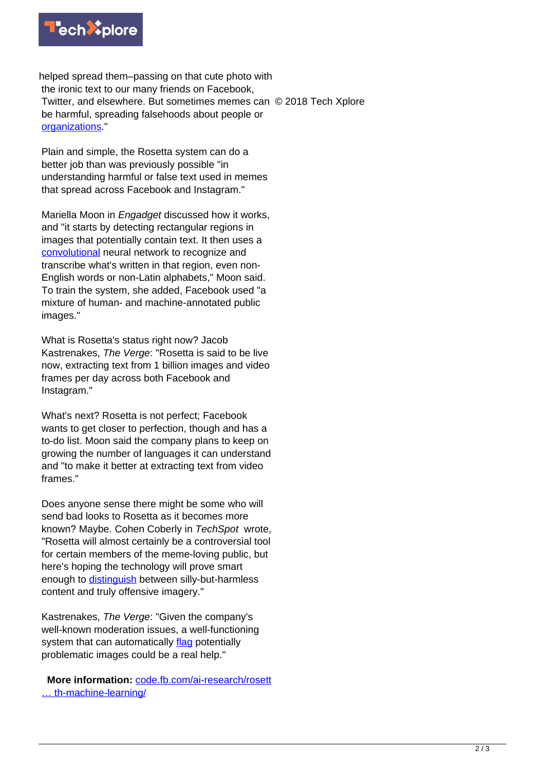

helped spread them–passing on that cute photo with the ironic text to our many friends on Facebook, Twitter, and elsewhere. But sometimes memes can © 2018 Tech Xplore be harmful, spreading falsehoods about people or [organizations.](https://www.fastcompany.com/90235196/facebook-has-a-new-weapon-in-the-fight-against-memes-it-really-needs-it)"

Plain and simple, the Rosetta system can do a better job than was previously possible "in understanding harmful or false text used in memes that spread across Facebook and Instagram."

Mariella Moon in Engadget discussed how it works, and "it starts by detecting rectangular regions in images that potentially contain text. It then uses a [convolutional](https://www.engadget.com/2018/09/11/facebook-rosetta-ai-translation/) neural network to recognize and transcribe what's written in that region, even non-English words or non-Latin alphabets," Moon said. To train the system, she added, Facebook used "a mixture of human- and machine-annotated public images."

What is Rosetta's status right now? Jacob Kastrenakes, The Verge: "Rosetta is said to be live now, extracting text from 1 billion images and video frames per day across both Facebook and Instagram."

What's next? Rosetta is not perfect; Facebook wants to get closer to perfection, though and has a to-do list. Moon said the company plans to keep on growing the number of languages it can understand and "to make it better at extracting text from video frames."

Does anyone sense there might be some who will send bad looks to Rosetta as it becomes more known? Maybe. Cohen Coberly in TechSpot wrote, "Rosetta will almost certainly be a controversial tool for certain members of the meme-loving public, but here's hoping the technology will prove smart enough to **distinguish** between silly-but-harmless content and truly offensive imagery."

Kastrenakes, The Verge: "Given the company's well-known moderation issues, a well-functioning system that can automatically [flag](https://www.theverge.com/2018/9/11/17846512/facebook-rosetta-meme-machine-learning-text-recognition-hate-speech) potentially problematic images could be a real help."

 **More information:** [code.fb.com/ai-research/rosett](https://code.fb.com/ai-research/rosetta-understanding-text-in-images-and-videos-with-machine-learning/) [… th-machine-learning/](https://code.fb.com/ai-research/rosetta-understanding-text-in-images-and-videos-with-machine-learning/)